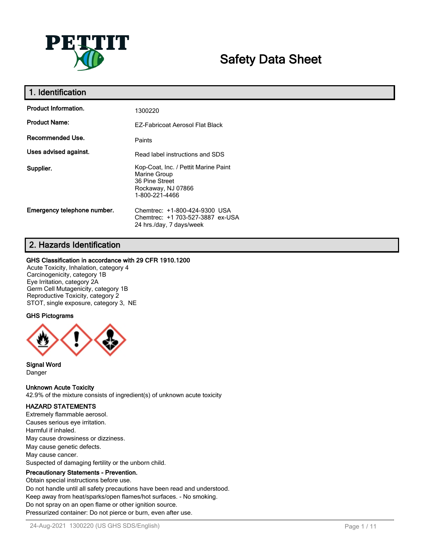

# **Safety Data Sheet**

| 1. Identification           |                                                                                                                |
|-----------------------------|----------------------------------------------------------------------------------------------------------------|
| <b>Product Information.</b> | 1300220                                                                                                        |
| <b>Product Name:</b>        | <b>EZ-Fabricoat Aerosol Flat Black</b>                                                                         |
| Recommended Use.            | Paints                                                                                                         |
| Uses advised against.       | Read label instructions and SDS                                                                                |
| Supplier.                   | Kop-Coat, Inc. / Pettit Marine Paint<br>Marine Group<br>36 Pine Street<br>Rockaway, NJ 07866<br>1-800-221-4466 |
| Emergency telephone number. | Chemtrec: +1-800-424-9300 USA<br>Chemtrec: +1 703-527-3887 ex-USA<br>24 hrs./day, 7 days/week                  |

## **2. Hazards Identification**

#### **GHS Classification in accordance with 29 CFR 1910.1200**

Acute Toxicity, Inhalation, category 4 Carcinogenicity, category 1B Eye Irritation, category 2A Germ Cell Mutagenicity, category 1B Reproductive Toxicity, category 2 STOT, single exposure, category 3, NE

#### **GHS Pictograms**



**Signal Word** Danger

**Unknown Acute Toxicity**

42.9% of the mixture consists of ingredient(s) of unknown acute toxicity

## **HAZARD STATEMENTS**

Extremely flammable aerosol. Causes serious eye irritation. Harmful if inhaled. May cause drowsiness or dizziness. May cause genetic defects. May cause cancer. Suspected of damaging fertility or the unborn child.

#### **Precautionary Statements - Prevention.**

Obtain special instructions before use. Do not handle until all safety precautions have been read and understood. Keep away from heat/sparks/open flames/hot surfaces. - No smoking. Do not spray on an open flame or other ignition source. Pressurized container: Do not pierce or burn, even after use.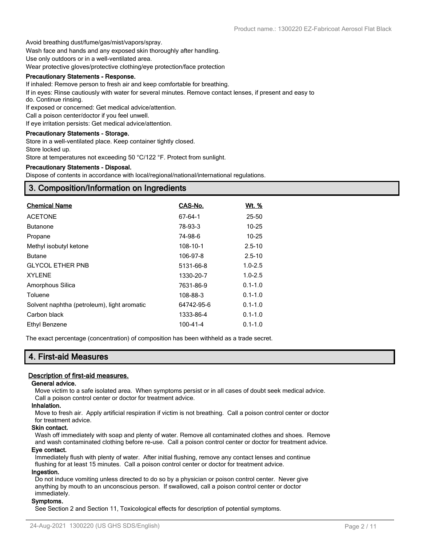Avoid breathing dust/fume/gas/mist/vapors/spray.

Wash face and hands and any exposed skin thoroughly after handling.

Use only outdoors or in a well-ventilated area.

Wear protective gloves/protective clothing/eye protection/face protection

#### **Precautionary Statements - Response.**

If inhaled: Remove person to fresh air and keep comfortable for breathing.

If in eyes: Rinse cautiously with water for several minutes. Remove contact lenses, if present and easy to do. Continue rinsing.

If exposed or concerned: Get medical advice/attention.

Call a poison center/doctor if you feel unwell.

If eye irritation persists: Get medical advice/attention.

#### **Precautionary Statements - Storage.**

Store in a well-ventilated place. Keep container tightly closed.

Store locked up.

Store at temperatures not exceeding 50 °C/122 °F. Protect from sunlight.

#### **Precautionary Statements - Disposal.**

Dispose of contents in accordance with local/regional/national/international regulations.

## **3. Composition/Information on Ingredients**

| <b>Chemical Name</b>                        | CAS-No.       | <u>Wt. %</u> |
|---------------------------------------------|---------------|--------------|
| <b>ACETONE</b>                              | $67 - 64 - 1$ | 25-50        |
| <b>Butanone</b>                             | 78-93-3       | $10 - 25$    |
| Propane                                     | 74-98-6       | $10 - 25$    |
| Methyl isobutyl ketone                      | 108-10-1      | $2.5 - 10$   |
| <b>Butane</b>                               | 106-97-8      | $2.5 - 10$   |
| <b>GLYCOL ETHER PNB</b>                     | 5131-66-8     | $1.0 - 2.5$  |
| <b>XYLENE</b>                               | 1330-20-7     | $1.0 - 2.5$  |
| Amorphous Silica                            | 7631-86-9     | $0.1 - 1.0$  |
| Toluene                                     | 108-88-3      | $0.1 - 1.0$  |
| Solvent naphtha (petroleum), light aromatic | 64742-95-6    | $0.1 - 1.0$  |
| Carbon black                                | 1333-86-4     | $0.1 - 1.0$  |
| Ethyl Benzene                               | 100-41-4      | $0.1 - 1.0$  |

The exact percentage (concentration) of composition has been withheld as a trade secret.

## **4. First-aid Measures**

#### **Description of first-aid measures.**

#### **General advice.**

Move victim to a safe isolated area. When symptoms persist or in all cases of doubt seek medical advice. Call a poison control center or doctor for treatment advice.

#### **Inhalation.**

Move to fresh air. Apply artificial respiration if victim is not breathing. Call a poison control center or doctor for treatment advice.

#### **Skin contact.**

Wash off immediately with soap and plenty of water. Remove all contaminated clothes and shoes. Remove and wash contaminated clothing before re-use. Call a poison control center or doctor for treatment advice.

#### **Eye contact.**

Immediately flush with plenty of water. After initial flushing, remove any contact lenses and continue flushing for at least 15 minutes. Call a poison control center or doctor for treatment advice.

#### **Ingestion.**

Do not induce vomiting unless directed to do so by a physician or poison control center. Never give anything by mouth to an unconscious person. If swallowed, call a poison control center or doctor immediately.

#### **Symptoms.**

See Section 2 and Section 11, Toxicological effects for description of potential symptoms.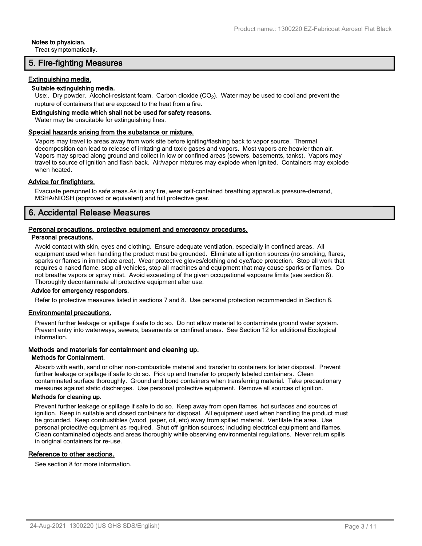#### **Notes to physician.**

Treat symptomatically.

## **5. Fire-fighting Measures**

#### **Extinguishing media.**

#### **Suitable extinguishing media.**

Use:. Dry powder. Alcohol-resistant foam. Carbon dioxide  $(CO<sub>2</sub>)$ . Water may be used to cool and prevent the rupture of containers that are exposed to the heat from a fire.

#### **Extinguishing media which shall not be used for safety reasons.**

Water may be unsuitable for extinguishing fires.

#### **Special hazards arising from the substance or mixture.**

Vapors may travel to areas away from work site before igniting/flashing back to vapor source. Thermal decomposition can lead to release of irritating and toxic gases and vapors. Most vapors are heavier than air. Vapors may spread along ground and collect in low or confined areas (sewers, basements, tanks). Vapors may travel to source of ignition and flash back. Air/vapor mixtures may explode when ignited. Containers may explode when heated.

#### **Advice for firefighters.**

Evacuate personnel to safe areas.As in any fire, wear self-contained breathing apparatus pressure-demand, MSHA/NIOSH (approved or equivalent) and full protective gear.

## **6. Accidental Release Measures**

#### **Personal precautions, protective equipment and emergency procedures. Personal precautions.**

Avoid contact with skin, eyes and clothing. Ensure adequate ventilation, especially in confined areas. All equipment used when handling the product must be grounded. Eliminate all ignition sources (no smoking, flares, sparks or flames in immediate area). Wear protective gloves/clothing and eye/face protection. Stop all work that requires a naked flame, stop all vehicles, stop all machines and equipment that may cause sparks or flames. Do not breathe vapors or spray mist. Avoid exceeding of the given occupational exposure limits (see section 8). Thoroughly decontaminate all protective equipment after use.

#### **Advice for emergency responders.**

Refer to protective measures listed in sections 7 and 8. Use personal protection recommended in Section 8.

#### **Environmental precautions.**

Prevent further leakage or spillage if safe to do so. Do not allow material to contaminate ground water system. Prevent entry into waterways, sewers, basements or confined areas. See Section 12 for additional Ecological information.

#### **Methods and materials for containment and cleaning up.**

#### **Methods for Containment.**

Absorb with earth, sand or other non-combustible material and transfer to containers for later disposal. Prevent further leakage or spillage if safe to do so. Pick up and transfer to properly labeled containers. Clean contaminated surface thoroughly. Ground and bond containers when transferring material. Take precautionary measures against static discharges. Use personal protective equipment. Remove all sources of ignition.

#### **Methods for cleaning up.**

Prevent further leakage or spillage if safe to do so. Keep away from open flames, hot surfaces and sources of ignition. Keep in suitable and closed containers for disposal. All equipment used when handling the product must be grounded. Keep combustibles (wood, paper, oil, etc) away from spilled material. Ventilate the area. Use personal protective equipment as required. Shut off ignition sources; including electrical equipment and flames. Clean contaminated objects and areas thoroughly while observing environmental regulations. Never return spills in original containers for re-use.

#### **Reference to other sections.**

See section 8 for more information.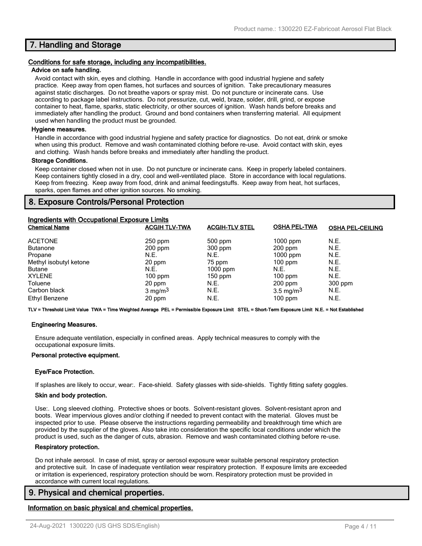## **7. Handling and Storage**

#### **Conditions for safe storage, including any incompatibilities.**

#### **Advice on safe handling.**

Avoid contact with skin, eyes and clothing. Handle in accordance with good industrial hygiene and safety practice. Keep away from open flames, hot surfaces and sources of ignition. Take precautionary measures against static discharges. Do not breathe vapors or spray mist. Do not puncture or incinerate cans. Use according to package label instructions. Do not pressurize, cut, weld, braze, solder, drill, grind, or expose container to heat, flame, sparks, static electricity, or other sources of ignition. Wash hands before breaks and immediately after handling the product. Ground and bond containers when transferring material. All equipment used when handling the product must be grounded.

#### **Hygiene measures.**

Handle in accordance with good industrial hygiene and safety practice for diagnostics. Do not eat, drink or smoke when using this product. Remove and wash contaminated clothing before re-use. Avoid contact with skin, eyes and clothing. Wash hands before breaks and immediately after handling the product.

#### **Storage Conditions.**

Keep container closed when not in use. Do not puncture or incinerate cans. Keep in properly labeled containers. Keep containers tightly closed in a dry, cool and well-ventilated place. Store in accordance with local regulations. Keep from freezing. Keep away from food, drink and animal feedingstuffs. Keep away from heat, hot surfaces, sparks, open flames and other ignition sources. No smoking.

## **8. Exposure Controls/Personal Protection**

| Ingredients with Occupational Exposure Limits<br><b>Chemical Name</b> | <b>ACGIH TLV-TWA</b> | <b>ACGIH-TLV STEL</b> | <b>OSHA PEL-TWA</b>  | <b>OSHA PEL-CEILING</b> |
|-----------------------------------------------------------------------|----------------------|-----------------------|----------------------|-------------------------|
| <b>ACETONE</b>                                                        | $250$ ppm            | $500$ ppm             | $1000$ ppm           | N.E.                    |
| <b>Butanone</b>                                                       | $200$ ppm            | $300$ ppm             | $200$ ppm            | N.E.                    |
| Propane                                                               | N.E.                 | N.E.                  | $1000$ ppm           | N.E.                    |
| Methyl isobutyl ketone                                                | 20 ppm               | 75 ppm                | $100$ ppm            | N.E.                    |
| <b>Butane</b>                                                         | N.E.                 | $1000$ ppm            | N.E.                 | N.E.                    |
| <b>XYLENE</b>                                                         | $100$ ppm            | $150$ ppm             | $100$ ppm            | N.E.                    |
| Toluene                                                               | 20 ppm               | N.E.                  | $200$ ppm            | 300 ppm                 |
| Carbon black                                                          | $3 \text{ mg/m}^3$   | N.E.                  | $3.5 \text{ mg/m}^3$ | N.E.                    |
| Ethyl Benzene                                                         | 20 ppm               | N.E.                  | $100$ ppm            | N.E.                    |

**TLV = Threshold Limit Value TWA = Time Weighted Average PEL = Permissible Exposure Limit STEL = Short-Term Exposure Limit N.E. = Not Established**

#### **Engineering Measures.**

Ensure adequate ventilation, especially in confined areas. Apply technical measures to comply with the occupational exposure limits.

#### **Personal protective equipment.**

#### **Eye/Face Protection.**

If splashes are likely to occur, wear:. Face-shield. Safety glasses with side-shields. Tightly fitting safety goggles.

#### **Skin and body protection.**

Use:. Long sleeved clothing. Protective shoes or boots. Solvent-resistant gloves. Solvent-resistant apron and boots. Wear impervious gloves and/or clothing if needed to prevent contact with the material. Gloves must be inspected prior to use. Please observe the instructions regarding permeability and breakthrough time which are provided by the supplier of the gloves. Also take into consideration the specific local conditions under which the product is used, such as the danger of cuts, abrasion. Remove and wash contaminated clothing before re-use.

#### **Respiratory protection.**

Do not inhale aerosol. In case of mist, spray or aerosol exposure wear suitable personal respiratory protection and protective suit. In case of inadequate ventilation wear respiratory protection. If exposure limits are exceeded or irritation is experienced, respiratory protection should be worn. Respiratory protection must be provided in accordance with current local regulations.

## **9. Physical and chemical properties.**

#### **Information on basic physical and chemical properties.**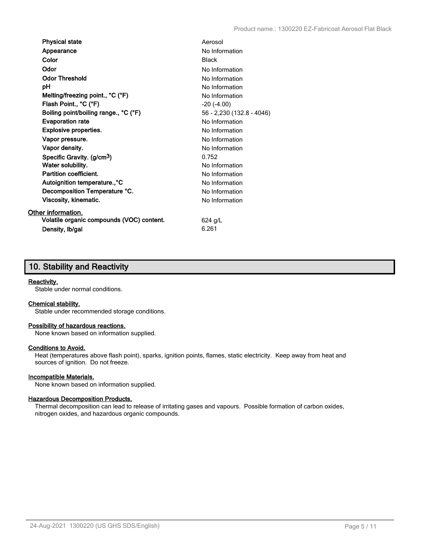| <b>Physical state</b>                     | Aerosol                   |
|-------------------------------------------|---------------------------|
| Appearance                                | No Information            |
| Color                                     | <b>Black</b>              |
| Odor                                      | No Information            |
| <b>Odor Threshold</b>                     | No Information            |
| рH                                        | No Information            |
| Melting/freezing point., °C (°F)          | No Information            |
| Flash Point., °C (°F)                     | $-20$ $(-4.00)$           |
| Boiling point/boiling range., °C (°F)     | 56 - 2,230 (132.8 - 4046) |
| <b>Evaporation rate</b>                   | No Information            |
| <b>Explosive properties.</b>              | No Information            |
| Vapor pressure.                           | No Information            |
| Vapor density.                            | No Information            |
| Specific Gravity. (g/cm <sup>3</sup> )    | 0.752                     |
| Water solubility.                         | No Information            |
| Partition coefficient.                    | No Information            |
| Autoignition temperature., °C             | No Information            |
| Decomposition Temperature °C.             | No Information            |
| Viscosity, kinematic.                     | No Information            |
| Other information.                        |                           |
| Volatile organic compounds (VOC) content. | 624 g/L                   |
| Density, Ib/gal                           | 6.261                     |

## **10. Stability and Reactivity**

#### **Reactivity.**

Stable under normal conditions.

#### **Chemical stability.**

Stable under recommended storage conditions.

#### **Possibility of hazardous reactions.**

None known based on information supplied.

## **Conditions to Avoid.**

Heat (temperatures above flash point), sparks, ignition points, flames, static electricity. Keep away from heat and sources of ignition. Do not freeze.

#### **Incompatible Materials.**

None known based on information supplied.

#### **Hazardous Decomposition Products.**

Thermal decomposition can lead to release of irritating gases and vapours. Possible formation of carbon oxides, nitrogen oxides, and hazardous organic compounds.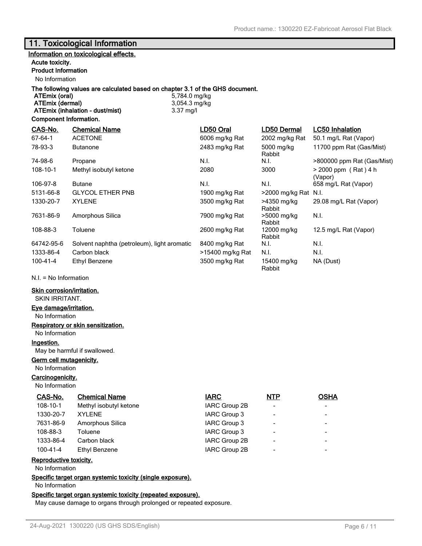## **11. Toxicological Information**

## **Information on toxicological effects.**

#### **Acute toxicity.**

## **Product Information**

No Information

## **The following values are calculated based on chapter 3.1 of the GHS document.**

**ATEmix (dermal)** 3,054.3 mg/kg **ATEmix (inhalation - dust/mist)** 3.37 mg/l

**ATEmix (oral)** 5,784.0 mg/kg

#### **Component Information.**

| CAS-No.        | <b>Chemical Name</b>                        | LD50 Oral        | LD50 Dermal           | LC50 Inhalation                   |
|----------------|---------------------------------------------|------------------|-----------------------|-----------------------------------|
| $67 - 64 - 1$  | <b>ACETONE</b>                              | 6006 mg/kg Rat   | 2002 mg/kg Rat        | 50.1 mg/L Rat (Vapor)             |
| 78-93-3        | <b>Butanone</b>                             | 2483 mg/kg Rat   | 5000 mg/kg<br>Rabbit  | 11700 ppm Rat (Gas/Mist)          |
| 74-98-6        | Propane                                     | N.I.             | N.I.                  | >800000 ppm Rat (Gas/Mist)        |
| 108-10-1       | Methyl isobutyl ketone                      | 2080             | 3000                  | $> 2000$ ppm (Rat) 4 h<br>(Vapor) |
| 106-97-8       | <b>Butane</b>                               | N.I.             | N.I.                  | 658 mg/L Rat (Vapor)              |
| 5131-66-8      | <b>GLYCOL ETHER PNB</b>                     | 1900 mg/kg Rat   | >2000 mg/kg Rat N.I.  |                                   |
| 1330-20-7      | <b>XYLENE</b>                               | 3500 mg/kg Rat   | >4350 mg/kg<br>Rabbit | 29.08 mg/L Rat (Vapor)            |
| 7631-86-9      | Amorphous Silica                            | 7900 mg/kg Rat   | >5000 mg/kg<br>Rabbit | N.I.                              |
| 108-88-3       | Toluene                                     | 2600 mg/kg Rat   | 12000 mg/kg<br>Rabbit | 12.5 mg/L Rat (Vapor)             |
| 64742-95-6     | Solvent naphtha (petroleum), light aromatic | 8400 mg/kg Rat   | N.I.                  | N.I.                              |
| 1333-86-4      | Carbon black                                | >15400 mg/kg Rat | N.I.                  | N.I.                              |
| $100 - 41 - 4$ | Ethyl Benzene                               | 3500 mg/kg Rat   | 15400 mg/kg<br>Rabbit | NA (Dust)                         |

N.I. = No Information

#### **Skin corrosion/irritation.**

SKIN IRRITANT.

#### **Eye damage/irritation.**

No Information

#### **Respiratory or skin sensitization.**

No Information

#### **Ingestion.**

May be harmful if swallowed.

#### **Germ cell mutagenicity.**

No Information

## **Carcinogenicity.**

No Information

| CAS-No.        | <b>Chemical Name</b>   | <b>IARC</b>   | <b>NTP</b>               | <b>OSHA</b>              |
|----------------|------------------------|---------------|--------------------------|--------------------------|
| $108 - 10 - 1$ | Methyl isobutyl ketone | IARC Group 2B | $\overline{\phantom{0}}$ | $\overline{\phantom{0}}$ |
| 1330-20-7      | <b>XYLENE</b>          | IARC Group 3  | $\overline{\phantom{a}}$ | $\overline{\phantom{0}}$ |
| 7631-86-9      | Amorphous Silica       | IARC Group 3  | $\overline{\phantom{a}}$ | $\overline{\phantom{0}}$ |
| 108-88-3       | Toluene                | IARC Group 3  | $\overline{\phantom{a}}$ | $\qquad \qquad$          |
| 1333-86-4      | Carbon black           | IARC Group 2B | $\overline{\phantom{a}}$ | $\overline{\phantom{0}}$ |
| $100 - 41 - 4$ | Ethyl Benzene          | IARC Group 2B | $\overline{\phantom{a}}$ | -                        |
|                |                        |               |                          |                          |

#### **Reproductive toxicity.**

No Information

**Specific target organ systemic toxicity (single exposure).**

No Information

#### **Specific target organ systemic toxicity (repeated exposure).**

May cause damage to organs through prolonged or repeated exposure.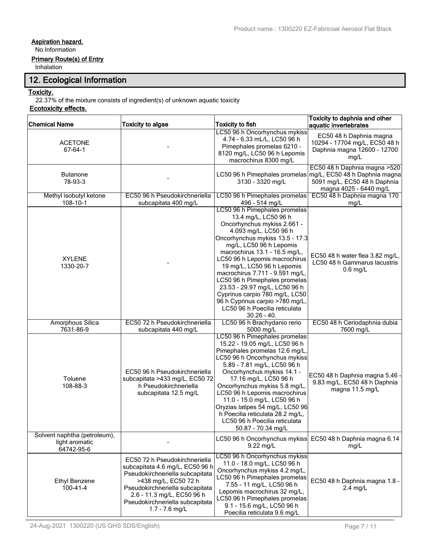## **Aspiration hazard.**

No Information

## **Primary Route(s) of Entry**

Inhalation

## **12. Ecological Information**

## **Toxicity.**

22.37% of the mixture consists of ingredient(s) of unknown aquatic toxicity

## **Ecotoxicity effects.**

| <b>Chemical Name</b>                                         | <b>Toxicity to algae</b>                                                                                                                                                                                                                            | <b>Toxicity to fish</b>                                                                                                                                                                                                                                                                                                                                                                                                                                                                                 | Toxicity to daphnia and other<br>aquatic invertebrates                                                                   |
|--------------------------------------------------------------|-----------------------------------------------------------------------------------------------------------------------------------------------------------------------------------------------------------------------------------------------------|---------------------------------------------------------------------------------------------------------------------------------------------------------------------------------------------------------------------------------------------------------------------------------------------------------------------------------------------------------------------------------------------------------------------------------------------------------------------------------------------------------|--------------------------------------------------------------------------------------------------------------------------|
| <b>ACETONE</b><br>$67 - 64 - 1$                              |                                                                                                                                                                                                                                                     | LC50 96 h Oncorhynchus mykiss<br>4.74 - 6.33 mL/L, LC50 96 h<br>Pimephales promelas 6210 -<br>8120 mg/L, LC50 96 h Lepomis<br>macrochirus 8300 mg/L                                                                                                                                                                                                                                                                                                                                                     | EC50 48 h Daphnia magna<br>10294 - 17704 mg/L, EC50 48 h<br>Daphnia magna 12600 - 12700<br>mg/L                          |
| <b>Butanone</b><br>78-93-3                                   |                                                                                                                                                                                                                                                     | LC50 96 h Pimephales promelas<br>3130 - 3320 mg/L                                                                                                                                                                                                                                                                                                                                                                                                                                                       | EC50 48 h Daphnia magna > 520<br>mg/L, EC50 48 h Daphnia magna<br>5091 mg/L, EC50 48 h Daphnia<br>magna 4025 - 6440 mg/L |
| Methyl isobutyl ketone<br>108-10-1                           | EC50 96 h Pseudokirchneriella<br>subcapitata 400 mg/L                                                                                                                                                                                               | LC50 96 h Pimephales promelas<br>496 - 514 mg/L                                                                                                                                                                                                                                                                                                                                                                                                                                                         | EC50 48 h Daphnia magna 170<br>mg/L                                                                                      |
| <b>XYLENE</b><br>1330-20-7                                   |                                                                                                                                                                                                                                                     | LC50 96 h Pimephales promelas<br>13.4 mg/L, LC50 96 h<br>Oncorhynchus mykiss 2.661 -<br>4.093 mg/L, LC50 96 h<br>Oncorhynchus mykiss 13.5 - 17.3<br>mg/L, LC50 96 h Lepomis<br>macrochirus 13.1 - 16.5 mg/L,<br>LC50 96 h Lepomis macrochirus<br>19 mg/L, LC50 96 h Lepomis<br>macrochirus 7.711 - 9.591 mg/L,<br>LC50 96 h Pimephales promelas<br>23.53 - 29.97 mg/L, LC50 96 h<br>Cyprinus carpio 780 mg/L, LC50<br>96 h Cyprinus carpio >780 mg/L,<br>LC50 96 h Poecilia reticulata<br>$30.26 - 40.$ | EC50 48 h water flea 3.82 mg/L,<br>LC50 48 h Gammarus lacustris<br>$0.6$ mg/L                                            |
| <b>Amorphous Silica</b><br>7631-86-9                         | EC50 72 h Pseudokirchneriella<br>subcapitata 440 mg/L                                                                                                                                                                                               | LC50 96 h Brachydanio rerio<br>5000 mg/L                                                                                                                                                                                                                                                                                                                                                                                                                                                                | EC50 48 h Ceriodaphnia dubia<br>7600 mg/L                                                                                |
| Toluene<br>108-88-3                                          | EC50 96 h Pseudokirchneriella<br>subcapitata >433 mg/L, EC50 72<br>h Pseudokirchneriella<br>subcapitata 12.5 mg/L                                                                                                                                   | LC50 96 h Pimephales promelas<br>15.22 - 19.05 mg/L, LC50 96 h<br>Pimephales promelas 12.6 mg/L,<br>LC50 96 h Oncorhynchus mykiss<br>5.89 - 7.81 mg/L, LC50 96 h<br>Oncorhynchus mykiss 14.1 -<br>17.16 mg/L, LC50 96 h<br>Oncorhynchus mykiss 5.8 mg/L,<br>LC50 96 h Lepomis macrochirus<br>11.0 - 15.0 mg/L, LC50 96 h<br>Oryzias latipes 54 mg/L, LC50 96<br>h Poecilia reticulata 28.2 mg/L,<br>LC50 96 h Poecilia reticulata<br>50.87 - 70.34 mg/L                                                 | EC50 48 h Daphnia magna 5.46 -<br>9.83 mg/L, EC50 48 h Daphnia<br>magna 11.5 mg/L                                        |
| Solvent naphtha (petroleum),<br>light aromatic<br>64742-95-6 |                                                                                                                                                                                                                                                     | LC50 96 h Oncorhynchus mykiss<br>9.22 mg/L                                                                                                                                                                                                                                                                                                                                                                                                                                                              | EC50 48 h Daphnia magna 6.14<br>mg/L                                                                                     |
| <b>Ethyl Benzene</b><br>$100 - 41 - 4$                       | EC50 72 h Pseudokirchneriella<br>subcapitata 4.6 mg/L, EC50 96 h<br>Pseudokirchneriella subcapitata<br>>438 mg/L, EC50 72 h<br>Pseudokirchneriella subcapitata<br>2.6 - 11.3 mg/L, EC50 96 h<br>Pseudokirchneriella subcapitata<br>$1.7 - 7.6$ mg/L | LC50 96 h Oncorhynchus mykiss<br>11.0 - 18.0 mg/L, LC50 96 h<br>Oncorhynchus mykiss 4.2 mg/L,<br>LC50 96 h Pimephales promelas<br>7.55 - 11 mg/L, LC50 96 h<br>Lepomis macrochirus 32 mg/L,<br>LC50 96 h Pimephales promelas<br>9.1 - 15.6 mg/L, LC50 96 h<br>Poecilia reticulata 9.6 mg/L                                                                                                                                                                                                              | EC50 48 h Daphnia magna 1.8 -<br>$2.4$ mg/L                                                                              |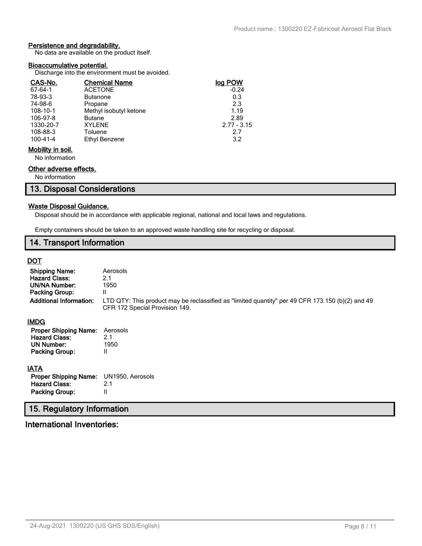## **Persistence and degradability.**

No data are available on the product itself.

#### **Bioaccumulative potential.**

Discharge into the environment must be avoided.

| CAS-No.           | <b>Chemical Name</b>   | log POW       |
|-------------------|------------------------|---------------|
| $67 - 64 - 1$     | <b>ACETONE</b>         | $-0.24$       |
| 78-93-3           | <b>Butanone</b>        | 0.3           |
| 74-98-6           | Propane                | 2.3           |
| 108-10-1          | Methyl isobutyl ketone | 1.19          |
| 106-97-8          | <b>Butane</b>          | 2.89          |
| 1330-20-7         | <b>XYLENE</b>          | $2.77 - 3.15$ |
| 108-88-3          | Toluene                | 2.7           |
| 100-41-4          | Ethyl Benzene          | 3.2           |
| Mobility in soil. |                        |               |

No information

## **Other adverse effects.**

No information

## **13. Disposal Considerations**

#### **Waste Disposal Guidance.**

Disposal should be in accordance with applicable regional, national and local laws and regulations.

Empty containers should be taken to an approved waste handling site for recycling or disposal.

## **14. Transport Information**

## **DOT**

| <b>Shipping Name:</b><br><b>Hazard Class:</b><br>UN/NA Number:<br>Packing Group:<br><b>Additional Information:</b> | Aerosols<br>2.1<br>1950<br>II<br>LTD QTY: This product may be reclassified as "limited quantity" per 49 CFR 173.150 (b)(2) and 49<br>CFR 172 Special Provision 149. |
|--------------------------------------------------------------------------------------------------------------------|---------------------------------------------------------------------------------------------------------------------------------------------------------------------|
| IMDG                                                                                                               |                                                                                                                                                                     |
| <b>Proper Shipping Name:</b><br><b>Hazard Class:</b><br><b>UN Number:</b><br><b>Packing Group:</b>                 | Aerosols<br>2.1<br>1950<br>Ш                                                                                                                                        |
| <b>IATA</b>                                                                                                        |                                                                                                                                                                     |
| <b>Proper Shipping Name:</b>                                                                                       | UN1950, Aerosols                                                                                                                                                    |
| <b>Hazard Class:</b>                                                                                               | 2.1                                                                                                                                                                 |
| Packing Group:                                                                                                     | Ш                                                                                                                                                                   |
| 15. Regulatory Information                                                                                         |                                                                                                                                                                     |

## **International Inventories:**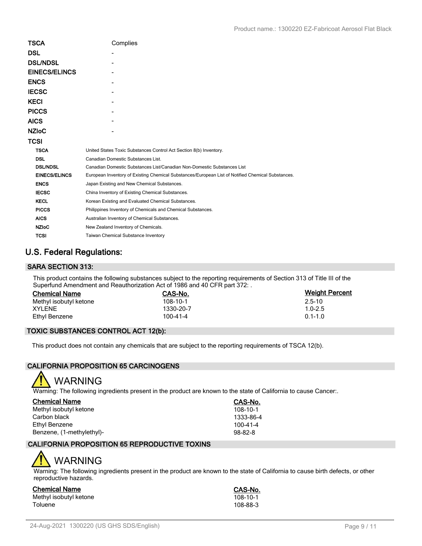| <b>TSCA</b>          | Complies                                                                                          |
|----------------------|---------------------------------------------------------------------------------------------------|
| <b>DSL</b>           |                                                                                                   |
| <b>DSL/NDSL</b>      |                                                                                                   |
| <b>EINECS/ELINCS</b> |                                                                                                   |
| <b>ENCS</b>          |                                                                                                   |
| <b>IECSC</b>         |                                                                                                   |
| <b>KECI</b>          |                                                                                                   |
| <b>PICCS</b>         |                                                                                                   |
| <b>AICS</b>          |                                                                                                   |
| <b>NZIoC</b>         |                                                                                                   |
| <b>TCSI</b>          |                                                                                                   |
| <b>TSCA</b>          | United States Toxic Substances Control Act Section 8(b) Inventory.                                |
| <b>DSL</b>           | Canadian Domestic Substances List.                                                                |
| <b>DSL/NDSL</b>      | Canadian Domestic Substances List/Canadian Non-Domestic Substances List                           |
| <b>EINECS/ELINCS</b> | European Inventory of Existing Chemical Substances/European List of Notified Chemical Substances. |
| <b>ENCS</b>          | Japan Existing and New Chemical Substances.                                                       |
| <b>IECSC</b>         | China Inventory of Existing Chemical Substances.                                                  |
| <b>KECL</b>          | Korean Existing and Evaluated Chemical Substances.                                                |
| <b>PICCS</b>         | Philippines Inventory of Chemicals and Chemical Substances.                                       |
| <b>AICS</b>          | Australian Inventory of Chemical Substances.                                                      |
| <b>NZIoC</b>         | New Zealand Inventory of Chemicals.                                                               |
| <b>TCSI</b>          | Taiwan Chemical Substance Inventory                                                               |

## **U.S. Federal Regulations:**

## **SARA SECTION 313:**

This product contains the following substances subject to the reporting requirements of Section 313 of Title III of the Superfund Amendment and Reauthorization Act of 1986 and 40 CFR part 372: .

| <b>Chemical Name</b>   | CAS-No.   | <b>Weight Percent</b> |
|------------------------|-----------|-----------------------|
| Methyl isobutyl ketone | 108-10-1  | $2.5 - 10$            |
| XYLENE                 | 1330-20-7 | $1.0 - 2.5$           |
| Ethyl Benzene          | 100-41-4  | $0.1 - 1.0$           |

## **TOXIC SUBSTANCES CONTROL ACT 12(b):**

This product does not contain any chemicals that are subject to the reporting requirements of TSCA 12(b).

## **CALIFORNIA PROPOSITION 65 CARCINOGENS**



Warning: The following ingredients present in the product are known to the state of California to cause Cancer:.

| <b>Chemical Name</b>      | CAS-No.        |
|---------------------------|----------------|
| Methyl isobutyl ketone    | 108-10-1       |
| Carbon black              | 1333-86-4      |
| Ethyl Benzene             | $100 - 41 - 4$ |
| Benzene, (1-methylethyl)- | $98 - 82 - 8$  |

## **CALIFORNIA PROPOSITION 65 REPRODUCTIVE TOXINS**

# WARNING

Warning: The following ingredients present in the product are known to the state of California to cause birth defects, or other reproductive hazards.

## **Chemical Name CAS-No.**

Methyl isobutyl ketone 108-10-1 (108-10-1)<br>Toluene 108-88-3 Toluene 108-88-3